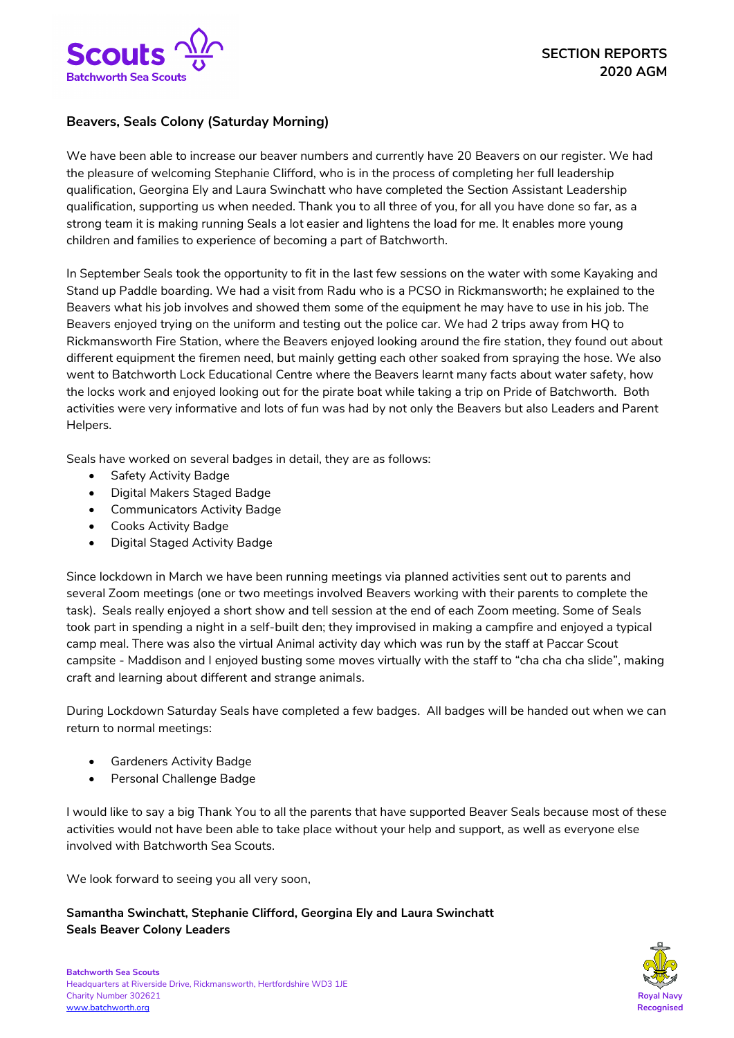

## **Beavers, Seals Colony (Saturday Morning)**

We have been able to increase our beaver numbers and currently have 20 Beavers on our register. We had the pleasure of welcoming Stephanie Clifford, who is in the process of completing her full leadership qualification, Georgina Ely and Laura Swinchatt who have completed the Section Assistant Leadership qualification, supporting us when needed. Thank you to all three of you, for all you have done so far, as a strong team it is making running Seals a lot easier and lightens the load for me. It enables more young children and families to experience of becoming a part of Batchworth.

In September Seals took the opportunity to fit in the last few sessions on the water with some Kayaking and Stand up Paddle boarding. We had a visit from Radu who is a PCSO in Rickmansworth; he explained to the Beavers what his job involves and showed them some of the equipment he may have to use in his job. The Beavers enjoyed trying on the uniform and testing out the police car. We had 2 trips away from HQ to Rickmansworth Fire Station, where the Beavers enjoyed looking around the fire station, they found out about different equipment the firemen need, but mainly getting each other soaked from spraying the hose. We also went to Batchworth Lock Educational Centre where the Beavers learnt many facts about water safety, how the locks work and enjoyed looking out for the pirate boat while taking a trip on Pride of Batchworth. Both activities were very informative and lots of fun was had by not only the Beavers but also Leaders and Parent Helpers.

Seals have worked on several badges in detail, they are as follows:

- Safety Activity Badge
- Digital Makers Staged Badge
- Communicators Activity Badge
- Cooks Activity Badge
- Digital Staged Activity Badge

Since lockdown in March we have been running meetings via planned activities sent out to parents and several Zoom meetings (one or two meetings involved Beavers working with their parents to complete the task). Seals really enjoyed a short show and tell session at the end of each Zoom meeting. Some of Seals took part in spending a night in a self-built den; they improvised in making a campfire and enjoyed a typical camp meal. There was also the virtual Animal activity day which was run by the staff at Paccar Scout campsite - Maddison and I enjoyed busting some moves virtually with the staff to "cha cha cha slide", making craft and learning about different and strange animals.

During Lockdown Saturday Seals have completed a few badges. All badges will be handed out when we can return to normal meetings:

- Gardeners Activity Badge
- Personal Challenge Badge

I would like to say a big Thank You to all the parents that have supported Beaver Seals because most of these activities would not have been able to take place without your help and support, as well as everyone else involved with Batchworth Sea Scouts.

We look forward to seeing you all very soon,

**Samantha Swinchatt, Stephanie Clifford, Georgina Ely and Laura Swinchatt Seals Beaver Colony Leaders**

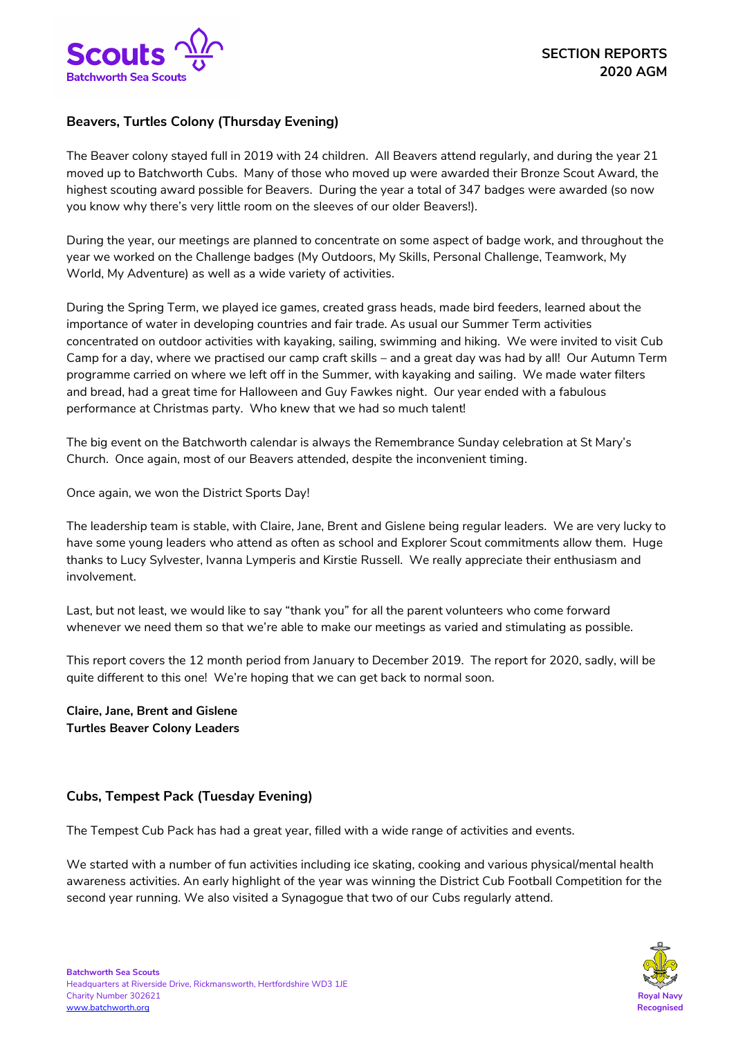

# **Beavers, Turtles Colony (Thursday Evening)**

The Beaver colony stayed full in 2019 with 24 children. All Beavers attend regularly, and during the year 21 moved up to Batchworth Cubs. Many of those who moved up were awarded their Bronze Scout Award, the highest scouting award possible for Beavers. During the year a total of 347 badges were awarded (so now you know why there's very little room on the sleeves of our older Beavers!).

During the year, our meetings are planned to concentrate on some aspect of badge work, and throughout the year we worked on the Challenge badges (My Outdoors, My Skills, Personal Challenge, Teamwork, My World, My Adventure) as well as a wide variety of activities.

During the Spring Term, we played ice games, created grass heads, made bird feeders, learned about the importance of water in developing countries and fair trade. As usual our Summer Term activities concentrated on outdoor activities with kayaking, sailing, swimming and hiking. We were invited to visit Cub Camp for a day, where we practised our camp craft skills – and a great day was had by all! Our Autumn Term programme carried on where we left off in the Summer, with kayaking and sailing. We made water filters and bread, had a great time for Halloween and Guy Fawkes night. Our year ended with a fabulous performance at Christmas party. Who knew that we had so much talent!

The big event on the Batchworth calendar is always the Remembrance Sunday celebration at St Mary's Church. Once again, most of our Beavers attended, despite the inconvenient timing.

Once again, we won the District Sports Day!

The leadership team is stable, with Claire, Jane, Brent and Gislene being regular leaders. We are very lucky to have some young leaders who attend as often as school and Explorer Scout commitments allow them. Huge thanks to Lucy Sylvester, Ivanna Lymperis and Kirstie Russell. We really appreciate their enthusiasm and involvement.

Last, but not least, we would like to say "thank you" for all the parent volunteers who come forward whenever we need them so that we're able to make our meetings as varied and stimulating as possible.

This report covers the 12 month period from January to December 2019. The report for 2020, sadly, will be quite different to this one! We're hoping that we can get back to normal soon.

**Claire, Jane, Brent and Gislene Turtles Beaver Colony Leaders**

## **Cubs, Tempest Pack (Tuesday Evening)**

The Tempest Cub Pack has had a great year, filled with a wide range of activities and events.

We started with a number of fun activities including ice skating, cooking and various physical/mental health awareness activities. An early highlight of the year was winning the District Cub Football Competition for the second year running. We also visited a Synagogue that two of our Cubs regularly attend.

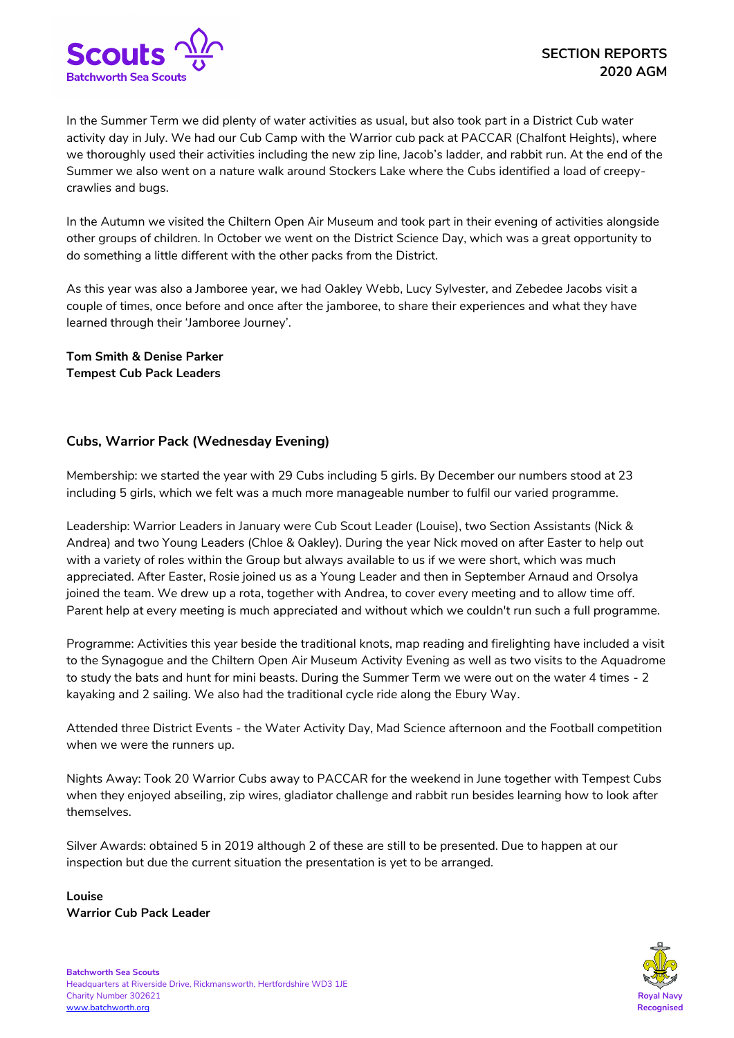

In the Summer Term we did plenty of water activities as usual, but also took part in a District Cub water activity day in July. We had our Cub Camp with the Warrior cub pack at PACCAR (Chalfont Heights), where we thoroughly used their activities including the new zip line, Jacob's ladder, and rabbit run. At the end of the Summer we also went on a nature walk around Stockers Lake where the Cubs identified a load of creepycrawlies and bugs.

In the Autumn we visited the Chiltern Open Air Museum and took part in their evening of activities alongside other groups of children. In October we went on the District Science Day, which was a great opportunity to do something a little different with the other packs from the District.

As this year was also a Jamboree year, we had Oakley Webb, Lucy Sylvester, and Zebedee Jacobs visit a couple of times, once before and once after the jamboree, to share their experiences and what they have learned through their 'Jamboree Journey'.

**Tom Smith & Denise Parker Tempest Cub Pack Leaders**

## **Cubs, Warrior Pack (Wednesday Evening)**

Membership: we started the year with 29 Cubs including 5 girls. By December our numbers stood at 23 including 5 girls, which we felt was a much more manageable number to fulfil our varied programme.

Leadership: Warrior Leaders in January were Cub Scout Leader (Louise), two Section Assistants (Nick & Andrea) and two Young Leaders (Chloe & Oakley). During the year Nick moved on after Easter to help out with a variety of roles within the Group but always available to us if we were short, which was much appreciated. After Easter, Rosie joined us as a Young Leader and then in September Arnaud and Orsolya joined the team. We drew up a rota, together with Andrea, to cover every meeting and to allow time off. Parent help at every meeting is much appreciated and without which we couldn't run such a full programme.

Programme: Activities this year beside the traditional knots, map reading and firelighting have included a visit to the Synagogue and the Chiltern Open Air Museum Activity Evening as well as two visits to the Aquadrome to study the bats and hunt for mini beasts. During the Summer Term we were out on the water 4 times - 2 kayaking and 2 sailing. We also had the traditional cycle ride along the Ebury Way.

Attended three District Events - the Water Activity Day, Mad Science afternoon and the Football competition when we were the runners up.

Nights Away: Took 20 Warrior Cubs away to PACCAR for the weekend in June together with Tempest Cubs when they enjoyed abseiling, zip wires, gladiator challenge and rabbit run besides learning how to look after themselves.

Silver Awards: obtained 5 in 2019 although 2 of these are still to be presented. Due to happen at our inspection but due the current situation the presentation is yet to be arranged.

**Louise Warrior Cub Pack Leader** 

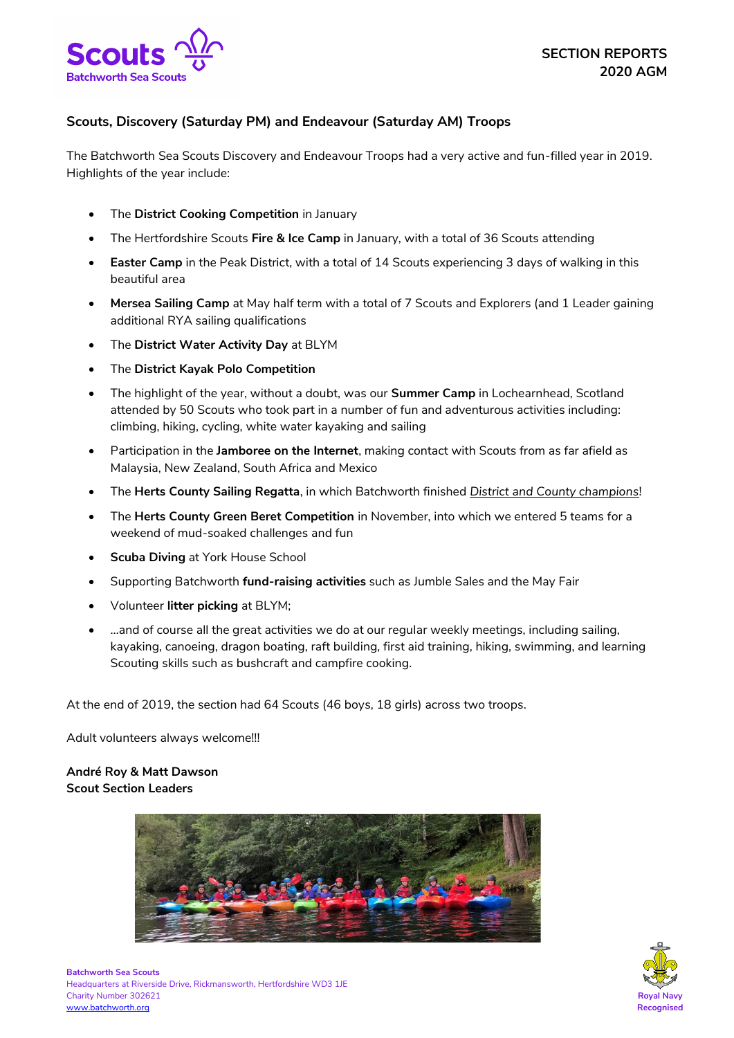

# **Scouts, Discovery (Saturday PM) and Endeavour (Saturday AM) Troops**

The Batchworth Sea Scouts Discovery and Endeavour Troops had a very active and fun-filled year in 2019. Highlights of the year include:

- The **District Cooking Competition** in January
- The Hertfordshire Scouts **Fire & Ice Camp** in January, with a total of 36 Scouts attending
- **Easter Camp** in the Peak District, with a total of 14 Scouts experiencing 3 days of walking in this beautiful area
- **Mersea Sailing Camp** at May half term with a total of 7 Scouts and Explorers (and 1 Leader gaining additional RYA sailing qualifications
- The **District Water Activity Day** at BLYM
- The **District Kayak Polo Competition**
- The highlight of the year, without a doubt, was our **Summer Camp** in Lochearnhead, Scotland attended by 50 Scouts who took part in a number of fun and adventurous activities including: climbing, hiking, cycling, white water kayaking and sailing
- Participation in the **Jamboree on the Internet**, making contact with Scouts from as far afield as Malaysia, New Zealand, South Africa and Mexico
- The **Herts County Sailing Regatta**, in which Batchworth finished *District and County champions*!
- The **Herts County Green Beret Competition** in November, into which we entered 5 teams for a weekend of mud-soaked challenges and fun
- **Scuba Diving** at York House School
- Supporting Batchworth **fund-raising activities** such as Jumble Sales and the May Fair
- Volunteer **litter picking** at BLYM;
- …and of course all the great activities we do at our regular weekly meetings, including sailing, kayaking, canoeing, dragon boating, raft building, first aid training, hiking, swimming, and learning Scouting skills such as bushcraft and campfire cooking.

At the end of 2019, the section had 64 Scouts (46 boys, 18 girls) across two troops.

Adult volunteers always welcome!!!

## **André Roy & Matt Dawson Scout Section Leaders**